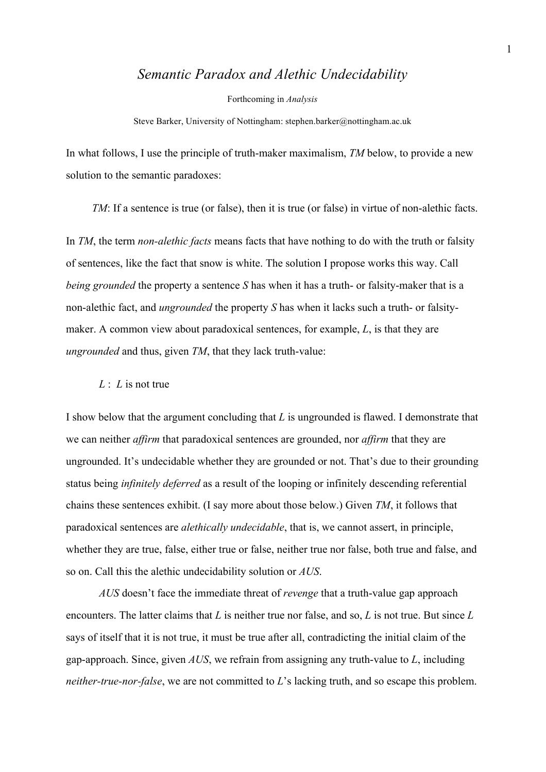# *Semantic Paradox and Alethic Undecidability*

#### Forthcoming in *Analysis*

#### Steve Barker, University of Nottingham: stephen.barker@nottingham.ac.uk

In what follows, I use the principle of truth-maker maximalism, *TM* below, to provide a new solution to the semantic paradoxes:

*TM*: If a sentence is true (or false), then it is true (or false) in virtue of non-alethic facts.

In *TM*, the term *non-alethic facts* means facts that have nothing to do with the truth or falsity of sentences, like the fact that snow is white. The solution I propose works this way. Call *being grounded* the property a sentence *S* has when it has a truth- or falsity-maker that is a non-alethic fact, and *ungrounded* the property *S* has when it lacks such a truth- or falsitymaker. A common view about paradoxical sentences, for example, *L*, is that they are *ungrounded* and thus, given *TM*, that they lack truth-value:

 $L \cdot L$  is not true

I show below that the argument concluding that *L* is ungrounded is flawed. I demonstrate that we can neither *affirm* that paradoxical sentences are grounded, nor *affirm* that they are ungrounded. It's undecidable whether they are grounded or not. That's due to their grounding status being *infinitely deferred* as a result of the looping or infinitely descending referential chains these sentences exhibit. (I say more about those below.) Given *TM*, it follows that paradoxical sentences are *alethically undecidable*, that is, we cannot assert, in principle, whether they are true, false, either true or false, neither true nor false, both true and false, and so on. Call this the alethic undecidability solution or *AUS*.

*AUS* doesn't face the immediate threat of *revenge* that a truth-value gap approach encounters. The latter claims that *L* is neither true nor false, and so, *L* is not true. But since *L* says of itself that it is not true, it must be true after all, contradicting the initial claim of the gap-approach. Since, given *AUS*, we refrain from assigning any truth-value to *L*, including *neither-true-nor-false*, we are not committed to *L*'s lacking truth, and so escape this problem.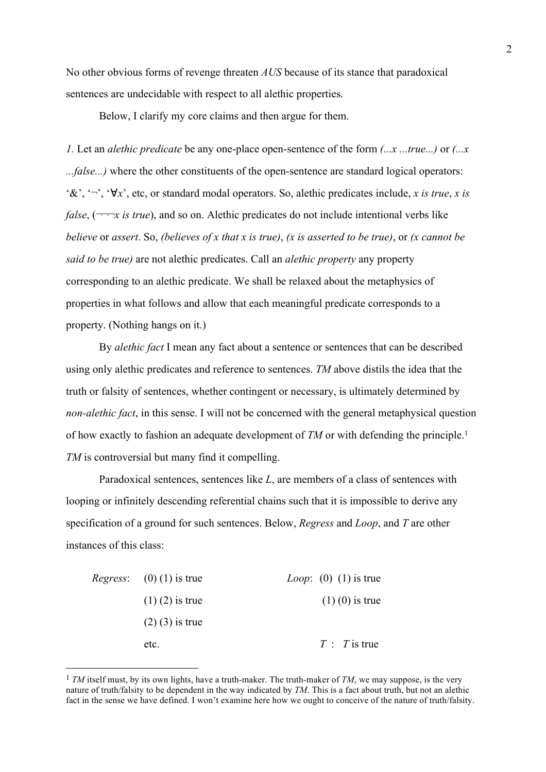No other obvious forms of revenge threaten *AUS* because of its stance that paradoxical sentences are undecidable with respect to all alethic properties.

Below, I clarify my core claims and then argue for them.

*1.* Let an *alethic predicate* be any one-place open-sentence of the form *(...x ...true...)* or *(...x ...false...)* where the other constituents of the open-sentence are standard logical operators: '&', '¬', '∀*x*', etc, or standard modal operators. So, alethic predicates include, *x is true*, *x is false*, ( $\rightarrow$  $\rightarrow$ *x is true*), and so on. Alethic predicates do not include intentional verbs like *believe* or *assert*. So, *(believes of x that x is true)*, *(x is asserted to be true)*, or *(x cannot be said to be true)* are not alethic predicates. Call an *alethic property* any property corresponding to an alethic predicate. We shall be relaxed about the metaphysics of properties in what follows and allow that each meaningful predicate corresponds to a property. (Nothing hangs on it.)

By *alethic fact* I mean any fact about a sentence or sentences that can be described using only alethic predicates and reference to sentences. *TM* above distils the idea that the truth or falsity of sentences, whether contingent or necessary, is ultimately determined by *non-alethic fact*, in this sense. I will not be concerned with the general metaphysical question of how exactly to fashion an adequate development of *TM* or with defending the principle. 1 *TM* is controversial but many find it compelling.

Paradoxical sentences, sentences like *L*, are members of a class of sentences with looping or infinitely descending referential chains such that it is impossible to derive any specification of a ground for such sentences. Below, *Regress* and *Loop*, and *T* are other instances of this class:

| <i>Regress:</i> $(0)$ (1) is true | <i>Loop</i> : $(0)$ $(1)$ is true |
|-----------------------------------|-----------------------------------|
| $(1)$ (2) is true                 | $(1)$ (0) is true                 |
| $(2)$ (3) is true                 |                                   |
| etc.                              | $T: T$ is true                    |

 <sup>1</sup> *TM* itself must, by its own lights, have a truth-maker. The truth-maker of *TM*, we may suppose, is the very nature of truth/falsity to be dependent in the way indicated by *TM*. This is a fact about truth, but not an alethic fact in the sense we have defined. I won't examine here how we ought to conceive of the nature of truth/falsity.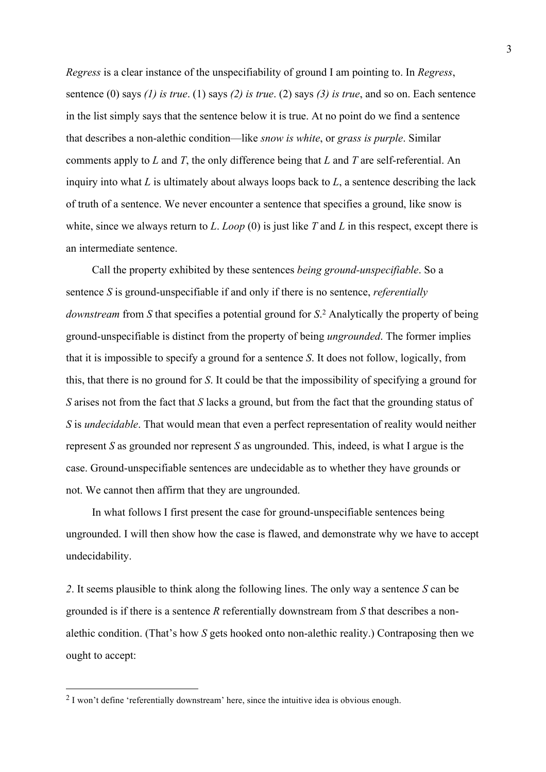*Regress* is a clear instance of the unspecifiability of ground I am pointing to. In *Regress*, sentence (0) says *(1) is true*. (1) says *(2) is true*. (2) says *(3) is true*, and so on. Each sentence in the list simply says that the sentence below it is true. At no point do we find a sentence that describes a non-alethic condition—like *snow is white*, or *grass is purple*. Similar comments apply to *L* and *T*, the only difference being that *L* and *T* are self-referential. An inquiry into what *L* is ultimately about always loops back to *L*, a sentence describing the lack of truth of a sentence. We never encounter a sentence that specifies a ground, like snow is white, since we always return to *L*. *Loop* (0) is just like *T* and *L* in this respect, except there is an intermediate sentence.

Call the property exhibited by these sentences *being ground-unspecifiable*. So a sentence *S* is ground-unspecifiable if and only if there is no sentence, *referentially downstream* from *S* that specifies a potential ground for *S*. <sup>2</sup> Analytically the property of being ground-unspecifiable is distinct from the property of being *ungrounded*. The former implies that it is impossible to specify a ground for a sentence *S*. It does not follow, logically, from this, that there is no ground for *S*. It could be that the impossibility of specifying a ground for *S* arises not from the fact that *S* lacks a ground, but from the fact that the grounding status of *S* is *undecidable*. That would mean that even a perfect representation of reality would neither represent *S* as grounded nor represent *S* as ungrounded. This, indeed, is what I argue is the case. Ground-unspecifiable sentences are undecidable as to whether they have grounds or not. We cannot then affirm that they are ungrounded.

In what follows I first present the case for ground-unspecifiable sentences being ungrounded. I will then show how the case is flawed, and demonstrate why we have to accept undecidability.

*2*. It seems plausible to think along the following lines. The only way a sentence *S* can be grounded is if there is a sentence *R* referentially downstream from *S* that describes a nonalethic condition. (That's how *S* gets hooked onto non-alethic reality.) Contraposing then we ought to accept:

 <sup>2</sup> I won't define 'referentially downstream' here, since the intuitive idea is obvious enough.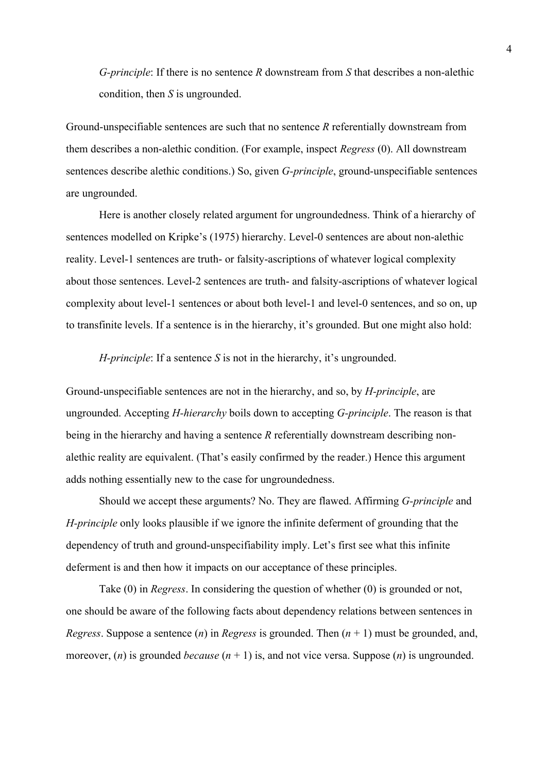*G-principle*: If there is no sentence *R* downstream from *S* that describes a non-alethic condition, then *S* is ungrounded.

Ground-unspecifiable sentences are such that no sentence *R* referentially downstream from them describes a non-alethic condition. (For example, inspect *Regress* (0). All downstream sentences describe alethic conditions.) So, given *G-principle*, ground-unspecifiable sentences are ungrounded.

Here is another closely related argument for ungroundedness. Think of a hierarchy of sentences modelled on Kripke's (1975) hierarchy. Level-0 sentences are about non-alethic reality. Level-1 sentences are truth- or falsity-ascriptions of whatever logical complexity about those sentences. Level-2 sentences are truth- and falsity-ascriptions of whatever logical complexity about level-1 sentences or about both level-1 and level-0 sentences, and so on, up to transfinite levels. If a sentence is in the hierarchy, it's grounded. But one might also hold:

*H-principle*: If a sentence *S* is not in the hierarchy, it's ungrounded.

Ground-unspecifiable sentences are not in the hierarchy, and so, by *H-principle*, are ungrounded. Accepting *H-hierarchy* boils down to accepting *G-principle*. The reason is that being in the hierarchy and having a sentence *R* referentially downstream describing nonalethic reality are equivalent. (That's easily confirmed by the reader.) Hence this argument adds nothing essentially new to the case for ungroundedness.

Should we accept these arguments? No. They are flawed. Affirming *G-principle* and *H-principle* only looks plausible if we ignore the infinite deferment of grounding that the dependency of truth and ground-unspecifiability imply. Let's first see what this infinite deferment is and then how it impacts on our acceptance of these principles.

Take (0) in *Regress*. In considering the question of whether (0) is grounded or not, one should be aware of the following facts about dependency relations between sentences in *Regress*. Suppose a sentence  $(n)$  in *Regress* is grounded. Then  $(n + 1)$  must be grounded, and, moreover,  $(n)$  is grounded *because*  $(n + 1)$  is, and not vice versa. Suppose  $(n)$  is ungrounded.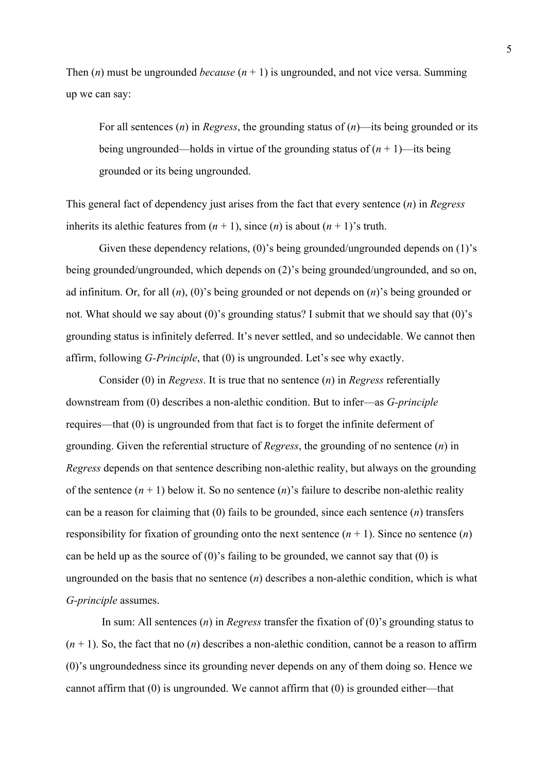Then  $(n)$  must be ungrounded *because*  $(n + 1)$  is ungrounded, and not vice versa. Summing up we can say:

For all sentences (*n*) in *Regress*, the grounding status of (*n*)—its being grounded or its being ungrounded—holds in virtue of the grounding status of  $(n + 1)$ —its being grounded or its being ungrounded.

This general fact of dependency just arises from the fact that every sentence (*n*) in *Regress* inherits its alethic features from  $(n + 1)$ , since  $(n)$  is about  $(n + 1)$ 's truth.

Given these dependency relations, (0)'s being grounded/ungrounded depends on (1)'s being grounded/ungrounded, which depends on (2)'s being grounded/ungrounded, and so on, ad infinitum. Or, for all (*n*), (0)'s being grounded or not depends on (*n*)'s being grounded or not. What should we say about (0)'s grounding status? I submit that we should say that (0)'s grounding status is infinitely deferred. It's never settled, and so undecidable. We cannot then affirm, following *G-Principle*, that (0) is ungrounded. Let's see why exactly.

Consider (0) in *Regress*. It is true that no sentence (*n*) in *Regress* referentially downstream from (0) describes a non-alethic condition. But to infer—as *G-principle* requires—that (0) is ungrounded from that fact is to forget the infinite deferment of grounding. Given the referential structure of *Regress*, the grounding of no sentence (*n*) in *Regress* depends on that sentence describing non-alethic reality, but always on the grounding of the sentence  $(n + 1)$  below it. So no sentence  $(n)$ 's failure to describe non-alethic reality can be a reason for claiming that (0) fails to be grounded, since each sentence (*n*) transfers responsibility for fixation of grounding onto the next sentence  $(n + 1)$ . Since no sentence  $(n)$ can be held up as the source of  $(0)$ 's failing to be grounded, we cannot say that  $(0)$  is ungrounded on the basis that no sentence (*n*) describes a non-alethic condition, which is what *G-principle* assumes.

In sum: All sentences (*n*) in *Regress* transfer the fixation of (0)'s grounding status to  $(n + 1)$ . So, the fact that no  $(n)$  describes a non-alethic condition, cannot be a reason to affirm (0)'s ungroundedness since its grounding never depends on any of them doing so. Hence we cannot affirm that (0) is ungrounded. We cannot affirm that (0) is grounded either—that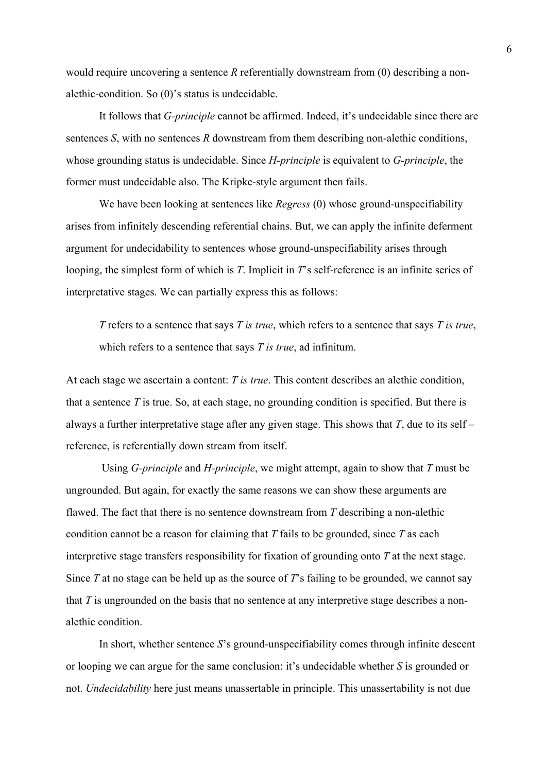would require uncovering a sentence *R* referentially downstream from (0) describing a nonalethic-condition. So (0)'s status is undecidable.

It follows that *G-principle* cannot be affirmed. Indeed, it's undecidable since there are sentences *S*, with no sentences *R* downstream from them describing non-alethic conditions, whose grounding status is undecidable. Since *H-principle* is equivalent to *G-principle*, the former must undecidable also. The Kripke-style argument then fails.

We have been looking at sentences like *Regress* (0) whose ground-unspecifiability arises from infinitely descending referential chains. But, we can apply the infinite deferment argument for undecidability to sentences whose ground-unspecifiability arises through looping, the simplest form of which is *T*. Implicit in *T*'s self-reference is an infinite series of interpretative stages. We can partially express this as follows:

*T* refers to a sentence that says *T is true*, which refers to a sentence that says *T is true*, which refers to a sentence that says *T is true*, ad infinitum.

At each stage we ascertain a content: *T is true*. This content describes an alethic condition, that a sentence *T* is true. So, at each stage, no grounding condition is specified. But there is always a further interpretative stage after any given stage. This shows that *T*, due to its self – reference, is referentially down stream from itself.

Using *G-principle* and *H-principle*, we might attempt, again to show that *T* must be ungrounded. But again, for exactly the same reasons we can show these arguments are flawed. The fact that there is no sentence downstream from *T* describing a non-alethic condition cannot be a reason for claiming that *T* fails to be grounded, since *T* as each interpretive stage transfers responsibility for fixation of grounding onto *T* at the next stage. Since *T* at no stage can be held up as the source of *T*'s failing to be grounded, we cannot say that *T* is ungrounded on the basis that no sentence at any interpretive stage describes a nonalethic condition.

In short, whether sentence *S*'s ground-unspecifiability comes through infinite descent or looping we can argue for the same conclusion: it's undecidable whether *S* is grounded or not. *Undecidability* here just means unassertable in principle. This unassertability is not due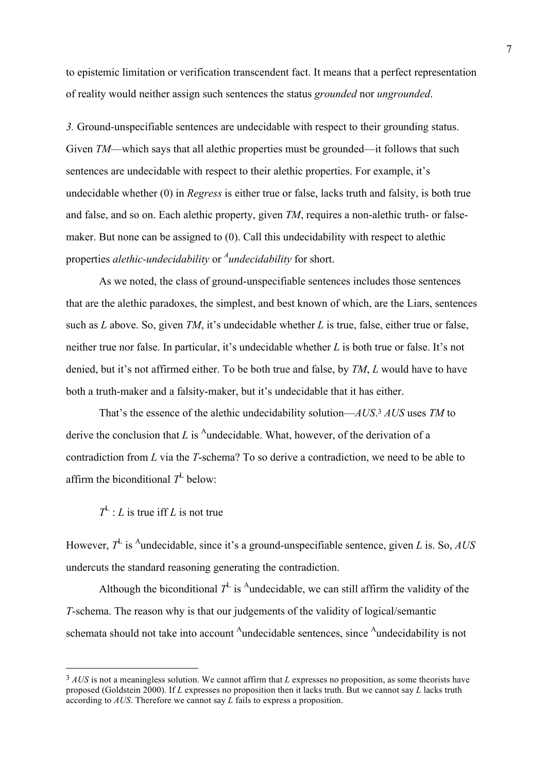to epistemic limitation or verification transcendent fact. It means that a perfect representation of reality would neither assign such sentences the status *grounded* nor *ungrounded*.

*3.* Ground-unspecifiable sentences are undecidable with respect to their grounding status. Given *TM*—which says that all alethic properties must be grounded—it follows that such sentences are undecidable with respect to their alethic properties. For example, it's undecidable whether (0) in *Regress* is either true or false, lacks truth and falsity, is both true and false, and so on. Each alethic property, given *TM*, requires a non-alethic truth- or falsemaker. But none can be assigned to (0). Call this undecidability with respect to alethic properties *alethic-undecidability* or *A undecidability* for short.

As we noted, the class of ground-unspecifiable sentences includes those sentences that are the alethic paradoxes, the simplest, and best known of which, are the Liars, sentences such as *L* above. So, given *TM*, it's undecidable whether *L* is true, false, either true or false, neither true nor false. In particular, it's undecidable whether *L* is both true or false. It's not denied, but it's not affirmed either. To be both true and false, by *TM*, *L* would have to have both a truth-maker and a falsity-maker, but it's undecidable that it has either.

That's the essence of the alethic undecidability solution—*AUS*. <sup>3</sup> *AUS* uses *TM* to derive the conclusion that  $L$  is <sup>A</sup>undecidable. What, however, of the derivation of a contradiction from *L* via the *T*-schema? To so derive a contradiction, we need to be able to affirm the biconditional  $T^L$  below:

 $T^L \cdot L$  is true iff *L* is not true

However,  $T^L$  is <sup>A</sup>undecidable, since it's a ground-unspecifiable sentence, given *L* is. So, *AUS* undercuts the standard reasoning generating the contradiction.

Although the biconditional  $T^L$  is <sup>A</sup>undecidable, we can still affirm the validity of the *T*-schema. The reason why is that our judgements of the validity of logical/semantic schemata should not take into account <sup>A</sup>undecidable sentences, since <sup>A</sup>undecidability is not

 <sup>3</sup> *AUS* is not a meaningless solution. We cannot affirm that *<sup>L</sup>* expresses no proposition, as some theorists have proposed (Goldstein 2000). If *L* expresses no proposition then it lacks truth. But we cannot say *L* lacks truth according to *AUS*. Therefore we cannot say *L* fails to express a proposition.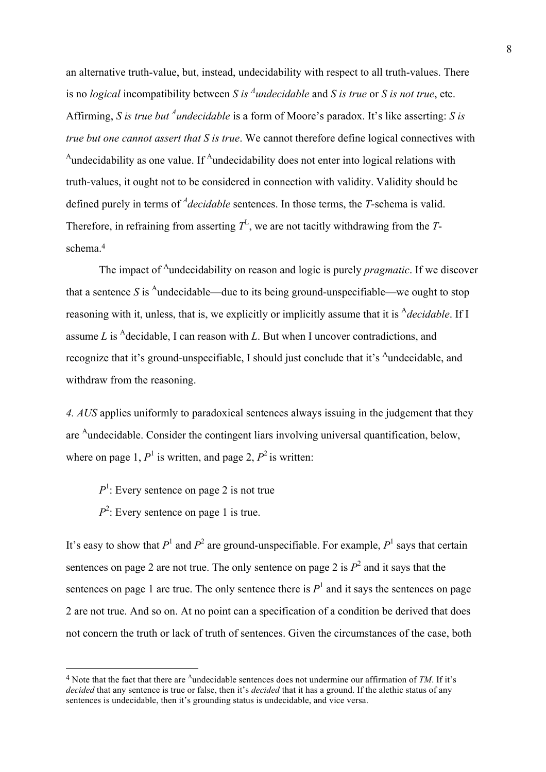an alternative truth-value, but, instead, undecidability with respect to all truth-values. There is no *logical* incompatibility between *S is A undecidable* and *S is true* or *S is not true*, etc. Affirming, *S is true but <sup>A</sup> undecidable* is a form of Moore's paradox. It's like asserting: *S is true but one cannot assert that S is true*. We cannot therefore define logical connectives with  $A$ undecidability as one value. If  $A$ undecidability does not enter into logical relations with truth-values, it ought not to be considered in connection with validity. Validity should be defined purely in terms of <sup>*A*</sup> decidable</sup> sentences. In those terms, the *T*-schema is valid. Therefore, in refraining from asserting  $T<sup>L</sup>$ , we are not tacitly withdrawing from the  $T<sup>L</sup>$ schema.4

The impact of <sup>A</sup>undecidability on reason and logic is purely *pragmatic*. If we discover that a sentence *S* is <sup>A</sup>undecidable—due to its being ground-unspecifiable—we ought to stop reasoning with it, unless, that is, we explicitly or implicitly assume that it is <sup>A</sup>decidable. If I assume *L* is <sup>A</sup>decidable, I can reason with *L*. But when I uncover contradictions, and recognize that it's ground-unspecifiable. I should just conclude that it's  $^{\text{A}}$ undecidable, and withdraw from the reasoning.

4. AUS applies uniformly to paradoxical sentences always issuing in the judgement that they are Aundecidable. Consider the contingent liars involving universal quantification, below, where on page 1,  $P<sup>1</sup>$  is written, and page 2,  $P<sup>2</sup>$  is written:

*P*1 : Every sentence on page 2 is not true

 $P^2$ : Every sentence on page 1 is true.

It's easy to show that  $P^1$  and  $P^2$  are ground-unspecifiable. For example,  $P^1$  says that certain sentences on page 2 are not true. The only sentence on page 2 is  $P^2$  and it says that the sentences on page 1 are true. The only sentence there is  $P<sup>1</sup>$  and it says the sentences on page 2 are not true. And so on. At no point can a specification of a condition be derived that does not concern the truth or lack of truth of sentences. Given the circumstances of the case, both

<sup>&</sup>lt;sup>4</sup> Note that the fact that there are <sup>A</sup>undecidable sentences does not undermine our affirmation of *TM*. If it's *decided* that any sentence is true or false, then it's *decided* that it has a ground. If the alethic status of any sentences is undecidable, then it's grounding status is undecidable, and vice versa.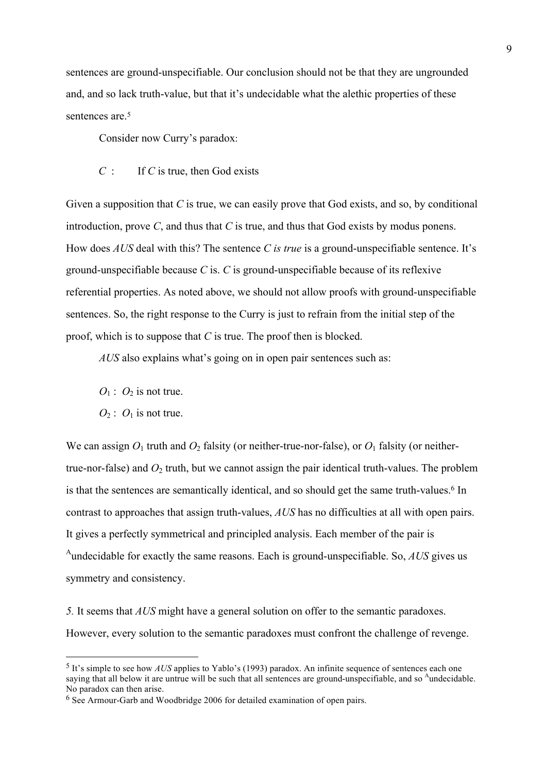sentences are ground-unspecifiable. Our conclusion should not be that they are ungrounded and, and so lack truth-value, but that it's undecidable what the alethic properties of these sentences are.<sup>5</sup>

Consider now Curry's paradox:

### *C* : If *C* is true, then God exists

Given a supposition that *C* is true, we can easily prove that God exists, and so, by conditional introduction, prove *C*, and thus that *C* is true, and thus that God exists by modus ponens. How does *AUS* deal with this? The sentence *C is true* is a ground-unspecifiable sentence. It's ground-unspecifiable because *C* is. *C* is ground-unspecifiable because of its reflexive referential properties. As noted above, we should not allow proofs with ground-unspecifiable sentences. So, the right response to the Curry is just to refrain from the initial step of the proof, which is to suppose that *C* is true. The proof then is blocked.

*AUS* also explains what's going on in open pair sentences such as:

 $O_1$ :  $O_2$  is not true.

 $O_2$ :  $O_1$  is not true.

We can assign  $O_1$  truth and  $O_2$  falsity (or neither-true-nor-false), or  $O_1$  falsity (or neithertrue-nor-false) and  $O_2$  truth, but we cannot assign the pair identical truth-values. The problem is that the sentences are semantically identical, and so should get the same truth-values. <sup>6</sup> In contrast to approaches that assign truth-values, *AUS* has no difficulties at all with open pairs. It gives a perfectly symmetrical and principled analysis. Each member of the pair is Aundecidable for exactly the same reasons. Each is ground-unspecifiable. So, *AUS* gives us symmetry and consistency.

*5.* It seems that *AUS* might have a general solution on offer to the semantic paradoxes. However, every solution to the semantic paradoxes must confront the challenge of revenge.

 <sup>5</sup> It's simple to see how *AUS* applies to Yablo's (1993) paradox. An infinite sequence of sentences each one saying that all below it are untrue will be such that all sentences are ground-unspecifiable, and so <sup>A</sup>undecidable. No paradox can then arise.

<sup>6</sup> See Armour-Garb and Woodbridge 2006 for detailed examination of open pairs.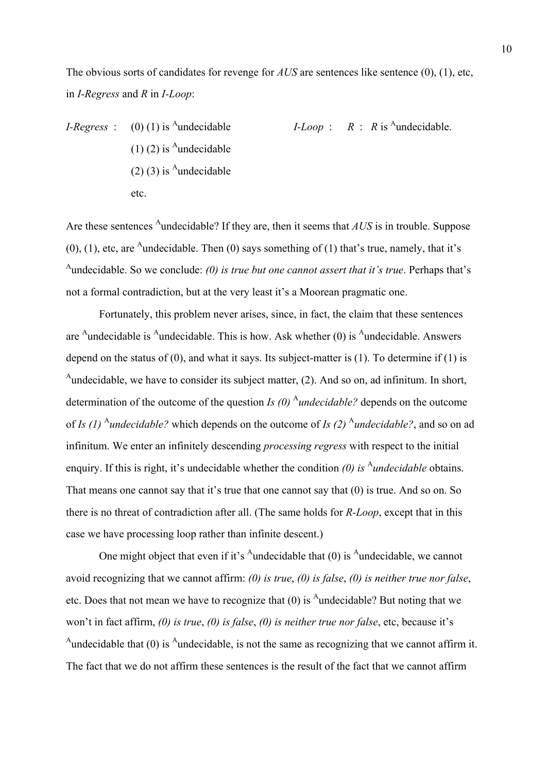The obvious sorts of candidates for revenge for *AUS* are sentences like sentence (0), (1), etc, in *I-Regress* and *R* in *I-Loop*:

*I-Regress* : (0) (1) is <sup>A</sup>undecidable *I-Loop* : *R* : *R* is <sup>A</sup>undecidable. (1) (2) is <sup>A</sup>undecidable (2) (3) is  $A$ undecidable etc.

Are these sentences <sup>A</sup>undecidable? If they are, then it seems that *AUS* is in trouble. Suppose (0), (1), etc, are <sup>A</sup>undecidable. Then (0) says something of (1) that's true, namely, that it's Aundecidable. So we conclude: *(0) is true but one cannot assert that it's true*. Perhaps that's not a formal contradiction, but at the very least it's a Moorean pragmatic one.

Fortunately, this problem never arises, since, in fact, the claim that these sentences are <sup>A</sup>undecidable is <sup>A</sup>undecidable. This is how. Ask whether (0) is <sup>A</sup>undecidable. Answers depend on the status of  $(0)$ , and what it says. Its subject-matter is  $(1)$ . To determine if  $(1)$  is <sup>A</sup>undecidable, we have to consider its subject matter, (2). And so on, ad infinitum. In short, determination of the outcome of the question *Is (0)* <sup>A</sup>*undecidable?* depends on the outcome of *Is (1)* <sup>A</sup>undecidable? which depends on the outcome of *Is (2)* <sup>A</sup>undecidable?, and so on ad infinitum. We enter an infinitely descending *processing regress* with respect to the initial enquiry. If this is right, it's undecidable whether the condition *(0)* is <sup>A</sup>undecidable obtains. That means one cannot say that it's true that one cannot say that (0) is true. And so on. So there is no threat of contradiction after all. (The same holds for *R-Loop*, except that in this case we have processing loop rather than infinite descent.)

One might object that even if it's  $^{\text{A}}$ undecidable that (0) is  $^{\text{A}}$ undecidable, we cannot avoid recognizing that we cannot affirm: *(0) is true*, *(0) is false*, *(0) is neither true nor false*, etc. Does that not mean we have to recognize that  $(0)$  is <sup>A</sup>undecidable? But noting that we won't in fact affirm, *(0) is true*, *(0) is false*, *(0) is neither true nor false*, etc, because it's Aundecidable that (0) is <sup>A</sup>undecidable, is not the same as recognizing that we cannot affirm it. The fact that we do not affirm these sentences is the result of the fact that we cannot affirm